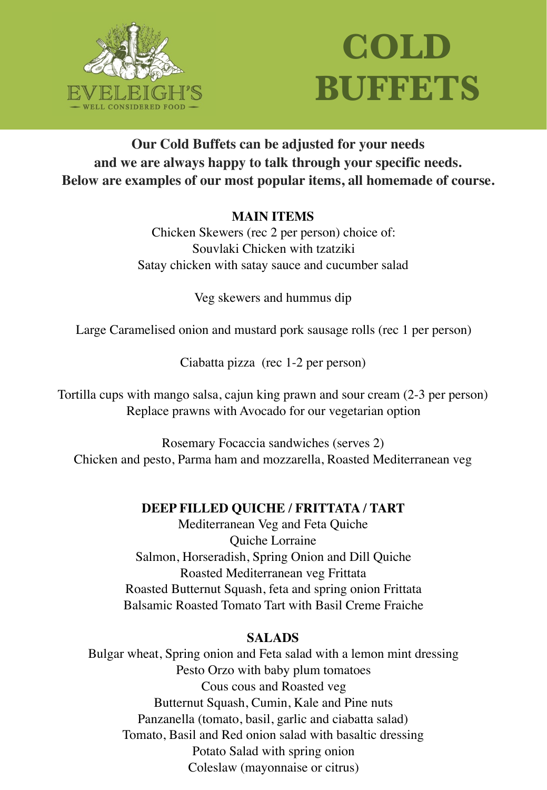

# **COLD BUFFETS**

# **Our Cold Buffets can be adjusted for your needs and we are always happy to talk through your specific needs. Below are examples of our most popular items, all homemade of course.**

## **MAIN ITEMS**

Chicken Skewers (rec 2 per person) choice of: Souvlaki Chicken with tzatziki Satay chicken with satay sauce and cucumber salad

Veg skewers and hummus dip

Large Caramelised onion and mustard pork sausage rolls (rec 1 per person)

Ciabatta pizza (rec 1-2 per person)

Tortilla cups with mango salsa, cajun king prawn and sour cream (2-3 per person) Replace prawns with Avocado for our vegetarian option

Rosemary Focaccia sandwiches (serves 2) Chicken and pesto, Parma ham and mozzarella, Roasted Mediterranean veg

# **DEEP FILLED QUICHE / FRITTATA / TART**

Mediterranean Veg and Feta Quiche Quiche Lorraine Salmon, Horseradish, Spring Onion and Dill Quiche Roasted Mediterranean veg Frittata Roasted Butternut Squash, feta and spring onion Frittata Balsamic Roasted Tomato Tart with Basil Creme Fraiche

# **SALADS**

Bulgar wheat, Spring onion and Feta salad with a lemon mint dressing Pesto Orzo with baby plum tomatoes Cous cous and Roasted veg Butternut Squash, Cumin, Kale and Pine nuts Panzanella (tomato, basil, garlic and ciabatta salad) Tomato, Basil and Red onion salad with basaltic dressing Potato Salad with spring onion Coleslaw (mayonnaise or citrus)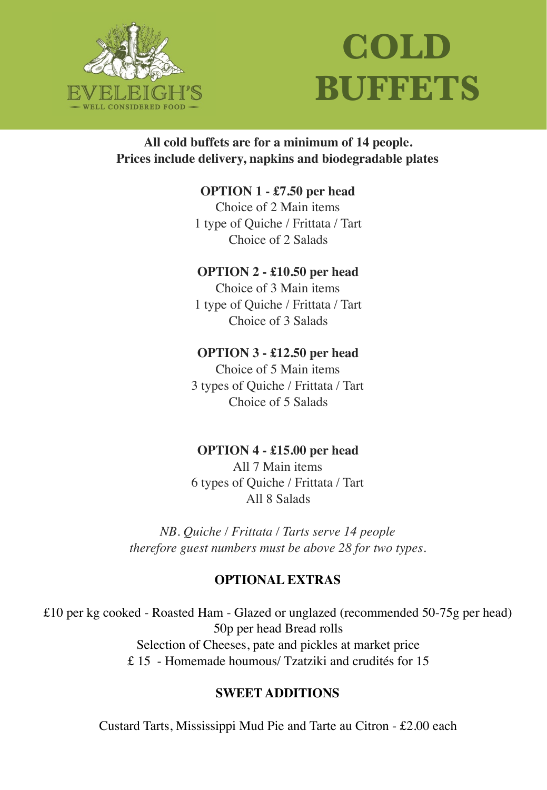

# **COLD BUFFETS**

## **All cold buffets are for a minimum of 14 people. Prices include delivery, napkins and biodegradable plates**

### **OPTION 1 - £7.50 per head**

Choice of 2 Main items 1 type of Quiche / Frittata / Tart Choice of 2 Salads

#### **OPTION 2 - £10.50 per head**

Choice of 3 Main items 1 type of Quiche / Frittata / Tart Choice of 3 Salads

#### **OPTION 3 - £12.50 per head**

Choice of 5 Main items 3 types of Quiche / Frittata / Tart Choice of 5 Salads

#### **OPTION 4 - £15.00 per head**

All 7 Main items 6 types of Quiche / Frittata / Tart All 8 Salads

*NB. Quiche / Frittata / Tarts serve 14 people therefore guest numbers must be above 28 for two types.* 

#### **OPTIONAL EXTRAS**

£10 per kg cooked - Roasted Ham - Glazed or unglazed (recommended 50-75g per head) 50p per head Bread rolls Selection of Cheeses, pate and pickles at market price £ 15 - Homemade houmous/ Tzatziki and crudités for 15

### **SWEET ADDITIONS**

Custard Tarts, Mississippi Mud Pie and Tarte au Citron - £2.00 each